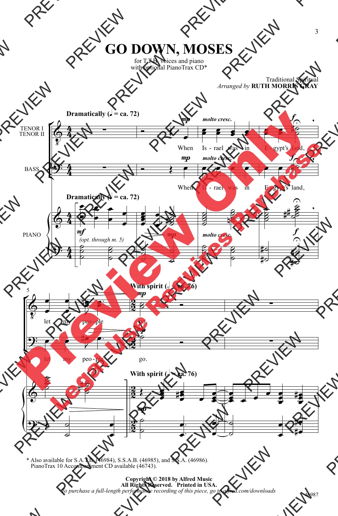## **GO DOWN, MOSES**

for T.T.B. voices and piano with optional PianoTrax CD\*

## Traditional Spiritual *Arranged by* **RUTH MORRIS GRAY**



\* Also available for S.A.T.B. (46984), S.S.A.B. (46985), and S.S.A. (46986). PianoTrax 10 Accompaniment CD available (46743).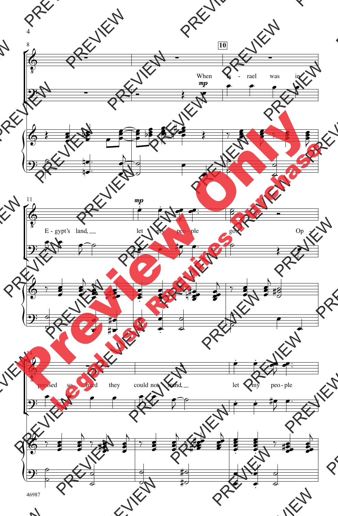

46987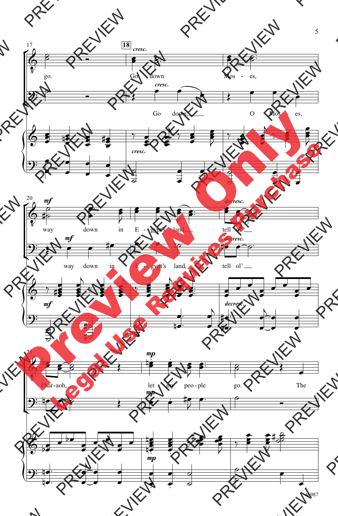

<sup>5</sup>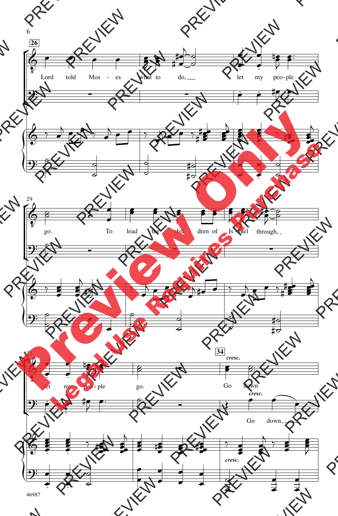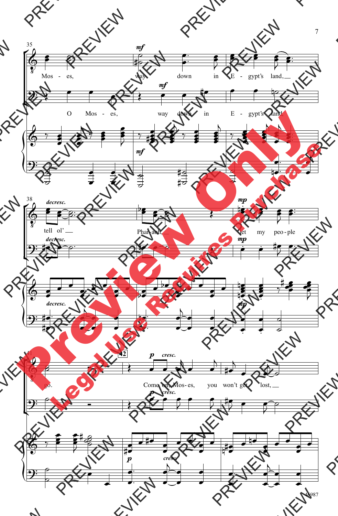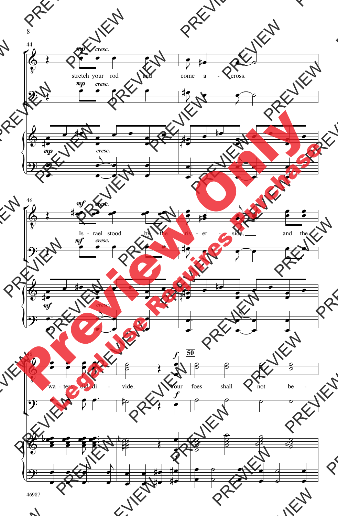

8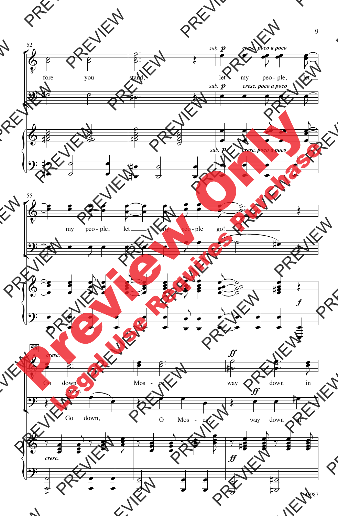